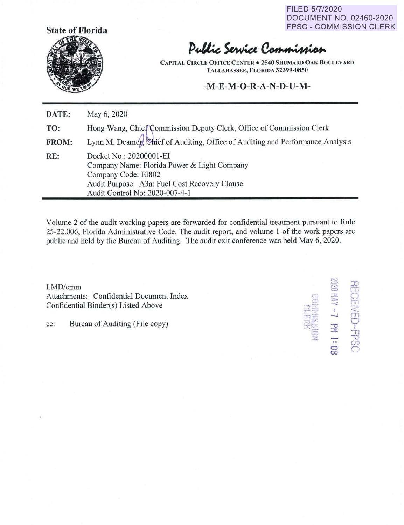FILED 5/7/2020 DOCUMENT NO. 02460-2020 FPSC - COMMISSION CLERK



## Public Service Commission

**CAPITAL CIRCLE OFFICE CENTER• 2540 SHUMARD OAK BOULEVARD TALLAHASSEE, FLORIDA 32399-0850** 

## **-M-E-M-O-R-A-N-D-U-M-**

| DATE: | May 6, 2020                                                                                                                                                                      |
|-------|----------------------------------------------------------------------------------------------------------------------------------------------------------------------------------|
| TO:   | Hong Wang, Chief Commission Deputy Clerk, Office of Commission Clerk                                                                                                             |
| FROM: | Lynn M. Deamer, Chief of Auditing, Office of Auditing and Performance Analysis                                                                                                   |
| RE:   | Docket No.: 20200001-EI<br>Company Name: Florida Power & Light Company<br>Company Code: EI802<br>Audit Purpose: A3a: Fuel Cost Recovery Clause<br>Audit Control No: 2020-007-4-1 |

Volume 2 of the audit working papers are forwarded for confidential treatment pursuant to Rule 25-22.006, Florida Administrative Code. The audit report, and volume 1 of the work papers are public and held by the Bureau of Auditing. The audit exit conference was held May 6, 2020.

 $LMD/cmm$ LMD/cmm<br>Attachments: Confidential Document Index Confidential Binder(s) Listed Above

 $-5$  $m \neq -1$   $\Box$  $\begin{array}{ccc}\n\text{cc:} & \text{Bureau of Auditing (File copy)} \\
\hline\n\end{array}$ **C)** n **a)**